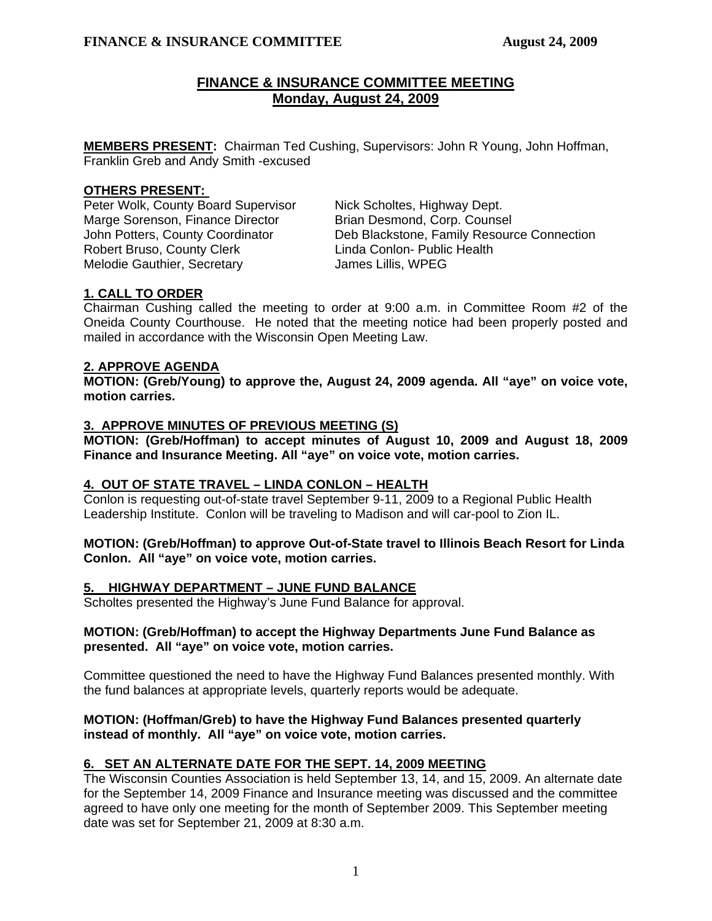# **FINANCE & INSURANCE COMMITTEE MEETING Monday, August 24, 2009**

**MEMBERS PRESENT:** Chairman Ted Cushing, Supervisors: John R Young, John Hoffman, Franklin Greb and Andy Smith -excused

# **OTHERS PRESENT:**

Peter Wolk, County Board Supervisor Nick Scholtes, Highway Dept. Marge Sorenson, Finance Director **Brian Desmond, Corp. Counsel** Robert Bruso, County Clerk Linda Conlon- Public Health Melodie Gauthier, Secretary **James Lillis, WPEG** 

John Potters, County Coordinator Deb Blackstone, Family Resource Connection

# **1. CALL TO ORDER**

Chairman Cushing called the meeting to order at 9:00 a.m. in Committee Room #2 of the Oneida County Courthouse. He noted that the meeting notice had been properly posted and mailed in accordance with the Wisconsin Open Meeting Law.

# **2. APPROVE AGENDA**

**MOTION: (Greb/Young) to approve the, August 24, 2009 agenda. All "aye" on voice vote, motion carries.** 

# **3. APPROVE MINUTES OF PREVIOUS MEETING (S)**

 **MOTION: (Greb/Hoffman) to accept minutes of August 10, 2009 and August 18, 2009 Finance and Insurance Meeting. All "aye" on voice vote, motion carries.** 

## **4. OUT OF STATE TRAVEL – LINDA CONLON – HEALTH**

Conlon is requesting out-of-state travel September 9-11, 2009 to a Regional Public Health Leadership Institute. Conlon will be traveling to Madison and will car-pool to Zion IL.

### **MOTION: (Greb/Hoffman) to approve Out-of-State travel to Illinois Beach Resort for Linda Conlon. All "aye" on voice vote, motion carries.**

## **5. HIGHWAY DEPARTMENT – JUNE FUND BALANCE**

Scholtes presented the Highway's June Fund Balance for approval.

### **MOTION: (Greb/Hoffman) to accept the Highway Departments June Fund Balance as presented. All "aye" on voice vote, motion carries.**

Committee questioned the need to have the Highway Fund Balances presented monthly. With the fund balances at appropriate levels, quarterly reports would be adequate.

## **MOTION: (Hoffman/Greb) to have the Highway Fund Balances presented quarterly instead of monthly. All "aye" on voice vote, motion carries.**

## **6. SET AN ALTERNATE DATE FOR THE SEPT. 14, 2009 MEETING**

The Wisconsin Counties Association is held September 13, 14, and 15, 2009. An alternate date for the September 14, 2009 Finance and Insurance meeting was discussed and the committee agreed to have only one meeting for the month of September 2009. This September meeting date was set for September 21, 2009 at 8:30 a.m.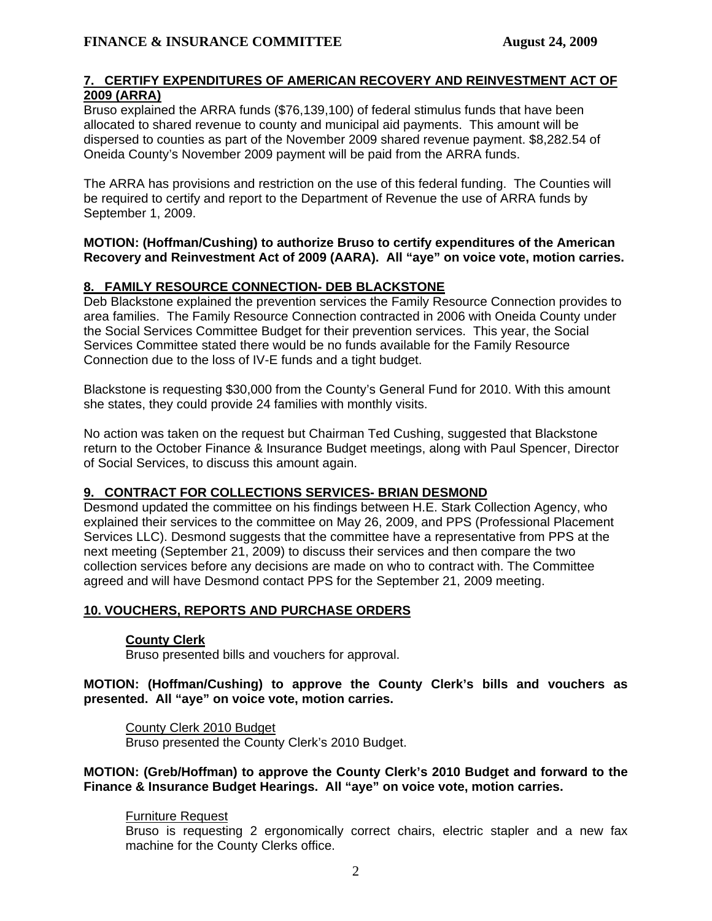## **7. CERTIFY EXPENDITURES OF AMERICAN RECOVERY AND REINVESTMENT ACT OF 2009 (ARRA)**

 Bruso explained the ARRA funds (\$76,139,100) of federal stimulus funds that have been allocated to shared revenue to county and municipal aid payments. This amount will be dispersed to counties as part of the November 2009 shared revenue payment. \$8,282.54 of Oneida County's November 2009 payment will be paid from the ARRA funds.

 The ARRA has provisions and restriction on the use of this federal funding. The Counties will be required to certify and report to the Department of Revenue the use of ARRA funds by September 1, 2009.

### **MOTION: (Hoffman/Cushing) to authorize Bruso to certify expenditures of the American Recovery and Reinvestment Act of 2009 (AARA). All "aye" on voice vote, motion carries.**

# **8. FAMILY RESOURCE CONNECTION- DEB BLACKSTONE**

Deb Blackstone explained the prevention services the Family Resource Connection provides to area families. The Family Resource Connection contracted in 2006 with Oneida County under the Social Services Committee Budget for their prevention services. This year, the Social Services Committee stated there would be no funds available for the Family Resource Connection due to the loss of IV-E funds and a tight budget.

 Blackstone is requesting \$30,000 from the County's General Fund for 2010. With this amount she states, they could provide 24 families with monthly visits.

 No action was taken on the request but Chairman Ted Cushing, suggested that Blackstone return to the October Finance & Insurance Budget meetings, along with Paul Spencer, Director of Social Services, to discuss this amount again.

## **9. CONTRACT FOR COLLECTIONS SERVICES- BRIAN DESMOND**

Desmond updated the committee on his findings between H.E. Stark Collection Agency, who explained their services to the committee on May 26, 2009, and PPS (Professional Placement Services LLC). Desmond suggests that the committee have a representative from PPS at the next meeting (September 21, 2009) to discuss their services and then compare the two collection services before any decisions are made on who to contract with. The Committee agreed and will have Desmond contact PPS for the September 21, 2009 meeting.

## **10. VOUCHERS, REPORTS AND PURCHASE ORDERS**

## **County Clerk**

Bruso presented bills and vouchers for approval.

### **MOTION: (Hoffman/Cushing) to approve the County Clerk's bills and vouchers as presented. All "aye" on voice vote, motion carries.**

## County Clerk 2010 Budget

Bruso presented the County Clerk's 2010 Budget.

## **MOTION: (Greb/Hoffman) to approve the County Clerk's 2010 Budget and forward to the Finance & Insurance Budget Hearings. All "aye" on voice vote, motion carries.**

## Furniture Request

Bruso is requesting 2 ergonomically correct chairs, electric stapler and a new fax machine for the County Clerks office.